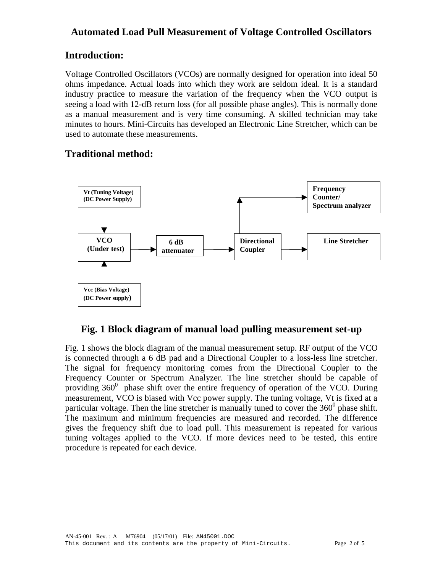# **Automated Load Pull Measurement of Voltage Controlled Oscillators**

# **Introduction:**

Voltage Controlled Oscillators (VCOs) are normally designed for operation into ideal 50 ohms impedance. Actual loads into which they work are seldom ideal. It is a standard industry practice to measure the variation of the frequency when the VCO output is seeing a load with 12-dB return loss (for all possible phase angles). This is normally done as a manual measurement and is very time consuming. A skilled technician may take minutes to hours. Mini-Circuits has developed an Electronic Line Stretcher, which can be used to automate these measurements.

# **Traditional method:**



## **Fig. 1 Block diagram of manual load pulling measurement set-up**

Fig. 1 shows the block diagram of the manual measurement setup. RF output of the VCO is connected through a 6 dB pad and a Directional Coupler to a loss-less line stretcher. The signal for frequency monitoring comes from the Directional Coupler to the Frequency Counter or Spectrum Analyzer. The line stretcher should be capable of providing  $360^0$  phase shift over the entire frequency of operation of the VCO. During measurement, VCO is biased with Vcc power supply. The tuning voltage, Vt is fixed at a particular voltage. Then the line stretcher is manually tuned to cover the  $360^{\circ}$  phase shift. The maximum and minimum frequencies are measured and recorded. The difference gives the frequency shift due to load pull. This measurement is repeated for various tuning voltages applied to the VCO. If more devices need to be tested, this entire procedure is repeated for each device.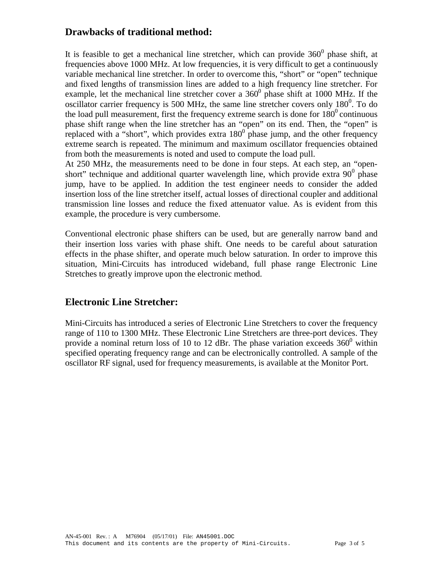### **Drawbacks of traditional method:**

It is feasible to get a mechanical line stretcher, which can provide  $360^0$  phase shift, at frequencies above 1000 MHz. At low frequencies, it is very difficult to get a continuously variable mechanical line stretcher. In order to overcome this, "short" or "open" technique and fixed lengths of transmission lines are added to a high frequency line stretcher. For example, let the mechanical line stretcher cover a  $360^{\circ}$  phase shift at 1000 MHz. If the oscillator carrier frequency is 500 MHz, the same line stretcher covers only  $180^0$ . To do the load pull measurement, first the frequency extreme search is done for  $180^{\circ}$  continuous phase shift range when the line stretcher has an "open" on its end. Then, the "open" is replaced with a "short", which provides extra  $180^{\circ}$  phase jump, and the other frequency extreme search is repeated. The minimum and maximum oscillator frequencies obtained from both the measurements is noted and used to compute the load pull.

At 250 MHz, the measurements need to be done in four steps. At each step, an "openshort" technique and additional quarter wavelength line, which provide extra  $90^{\circ}$  phase jump, have to be applied. In addition the test engineer needs to consider the added insertion loss of the line stretcher itself, actual losses of directional coupler and additional transmission line losses and reduce the fixed attenuator value. As is evident from this example, the procedure is very cumbersome.

Conventional electronic phase shifters can be used, but are generally narrow band and their insertion loss varies with phase shift. One needs to be careful about saturation effects in the phase shifter, and operate much below saturation. In order to improve this situation, Mini-Circuits has introduced wideband, full phase range Electronic Line Stretches to greatly improve upon the electronic method.

## **Electronic Line Stretcher:**

Mini-Circuits has introduced a series of Electronic Line Stretchers to cover the frequency range of 110 to 1300 MHz. These Electronic Line Stretchers are three-port devices. They provide a nominal return loss of 10 to 12 dBr. The phase variation exceeds  $360^{\circ}$  within specified operating frequency range and can be electronically controlled. A sample of the oscillator RF signal, used for frequency measurements, is available at the Monitor Port.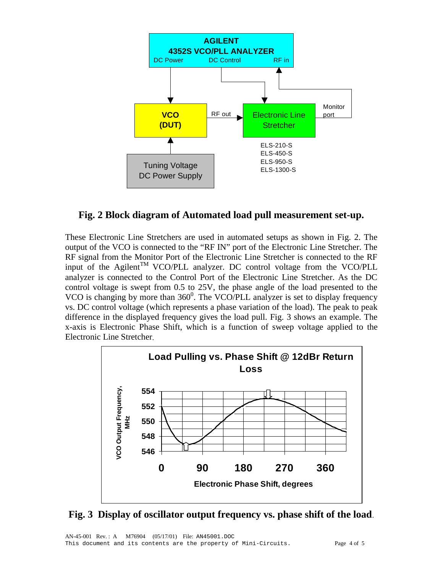

#### **Fig. 2 Block diagram of Automated load pull measurement set-up.**

These Electronic Line Stretchers are used in automated setups as shown in Fig. 2. The output of the VCO is connected to the "RF IN" port of the Electronic Line Stretcher. The RF signal from the Monitor Port of the Electronic Line Stretcher is connected to the RF input of the Agilent<sup>TM</sup> VCO/PLL analyzer. DC control voltage from the VCO/PLL analyzer is connected to the Control Port of the Electronic Line Stretcher. As the DC control voltage is swept from 0.5 to 25V, the phase angle of the load presented to the VCO is changing by more than  $360^{\circ}$ . The VCO/PLL analyzer is set to display frequency vs. DC control voltage (which represents a phase variation of the load). The peak to peak difference in the displayed frequency gives the load pull. Fig. 3 shows an example. The x-axis is Electronic Phase Shift, which is a function of sweep voltage applied to the Electronic Line Stretcher.